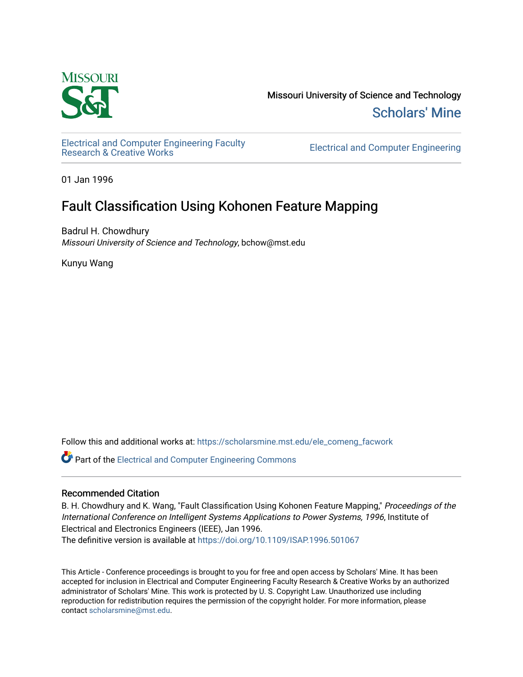

Missouri University of Science and Technology [Scholars' Mine](https://scholarsmine.mst.edu/) 

[Electrical and Computer Engineering Faculty](https://scholarsmine.mst.edu/ele_comeng_facwork)

**Electrical and Computer Engineering** 

01 Jan 1996

# Fault Classification Using Kohonen Feature Mapping

Badrul H. Chowdhury Missouri University of Science and Technology, bchow@mst.edu

Kunyu Wang

Follow this and additional works at: [https://scholarsmine.mst.edu/ele\\_comeng\\_facwork](https://scholarsmine.mst.edu/ele_comeng_facwork?utm_source=scholarsmine.mst.edu%2Fele_comeng_facwork%2F1044&utm_medium=PDF&utm_campaign=PDFCoverPages)

**C** Part of the Electrical and Computer Engineering Commons

# Recommended Citation

B. H. Chowdhury and K. Wang, "Fault Classification Using Kohonen Feature Mapping," Proceedings of the International Conference on Intelligent Systems Applications to Power Systems, 1996, Institute of Electrical and Electronics Engineers (IEEE), Jan 1996.

The definitive version is available at <https://doi.org/10.1109/ISAP.1996.501067>

This Article - Conference proceedings is brought to you for free and open access by Scholars' Mine. It has been accepted for inclusion in Electrical and Computer Engineering Faculty Research & Creative Works by an authorized administrator of Scholars' Mine. This work is protected by U. S. Copyright Law. Unauthorized use including reproduction for redistribution requires the permission of the copyright holder. For more information, please contact [scholarsmine@mst.edu](mailto:scholarsmine@mst.edu).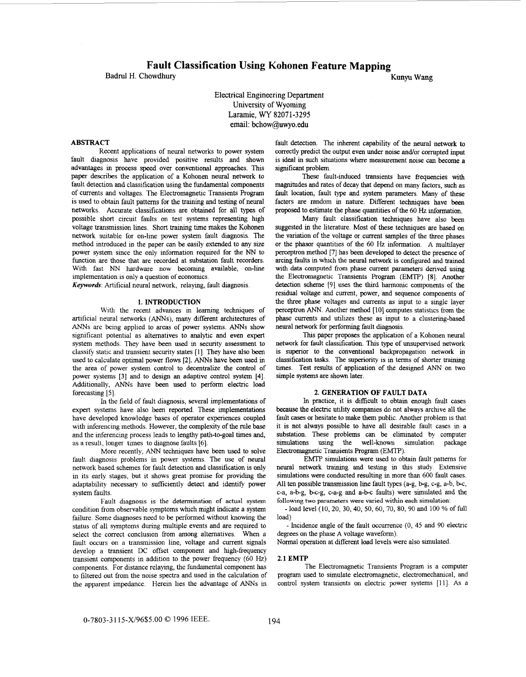# **Fault Classification Using Kohonen Feature Mapping**

Badrul H. Chowdhury **Kunyu Wang and Albert Chowdhury** 

**Electrical Engineering Department University of Wyoming Laramie,** WY **82071-3295 email: [bchow@uwyo.edu](mailto:bchow@uwyo.edu)** 

# **ABSTRACT**

Recent applications of neural networks to power system fault diagnosis have provided positive results and shown advantages in process *speed* over conventional approaches. This paper describes the application of a Kohonen neural network to fault detection and classification using the fundamental components of currents and voltages. The Electromagnetic Transients Program is used to obtain fault patterns for the training and testing of neural networks. Accurate classifications are obtained for **all types** of possible short circuit faults on test systems representing high voltage transmission lines. Short training time makes the Kohonen network suitable for on-line power system fault diagnosis. The method introduced in the paper can be easily extended to any size power system since the only information required for the **NN** to function are those that are recorded at substation fault recorders. With fast **NN** hardware now becoming available, on-line implementation **is** only a question of economics.

*Keywords:* Artificial neural network, relaymg, fault diagnosis.

## **1. INTRODUCTION**

With the recent advances in leaming techniques of artificial neural networks *(ANNs),* many different architectures of *ANNs* arc being applied to areas of power systems. *ANNs* show significant potential as alternatives to analytic and even expert system methods. They have been used in **security** assessment to classify static and transient security states [l]. They have also been used to calculate optimal power flows **[2].** *ANNs* have been used in the area of power system control to decentralize the control of power systems **[3]** and to design an adaptive control system [4]. Additionally, *ANNs* have been used to perform electric load forecasting [5].

In the field of fault diagnosis, several implementations of expert systems have also been reported. These implementations have developed knowledge bases of operator experiences coupled with inferencing methods. However, the complexity of the rule base and the mferencing process leads to lengthy path-to-goal times and, as a result, longer times to diagnose faults **161.** 

More recently, ANN techniques have been used to solve fault diagnosis problems in power systems. The **use** of neural network based schemes for fault detection and classification **is** only in its early stages, but it shows great promise for providing the adaptability necessary to sufficiently detect and identify power system faults.

Fault diagnosis is the determination of actual system condition from observable symptoms whch might indicate a system failure. Some diagnoses need to be performed without knowing the status of all symptoms during multiple events and are required to select the correct conclusion from among alternatives. When a fault occurs on a transmission line, voltage and current signals develop a transient **DC** offset component and high-frequency transient components in addition to the power frequency (60 *Hz)*  components. For distance relaymg, the fundamental component has to filtered out from the noise spectra and used in the calculation of the apparent impedance. Herein lies the advantage of *ANNs* in fault detection. The mherent capability of the neural network to correctly predict the output even under noise and/or corrupted input **is** ideal in such situations where measurement noise *can* become a significant problem.

These fault-induced transients have frequencies with magnitudes and rates of decay that depend on many factors, such as fault location, fault **type** and system parameters. Many of these factors are random in nature. Different techniques have been proposed to estmate the phase quantities of the **60** *Hz* mfomtion.

Many fault classification techniques have also been suggested in the literature. Most of these techniques are based on the variation of the voltage or current samples of the three phases or the phasor quantities of the 60 *Hz* information. **A** multilayer perceptron method **[7]** has been developed to detect the presence of arcing faults in whch the neural network **is** configured and trained with data computed from phase current parameters derived **using**  the Electromagnetic Transients Program (EMTP) [SI. *Another*  detection scheme (91 uses the third harmonic components of the residual voltage and current, power, and sequence components of the three **phase** voltages and currents as input to a single layer perceptron ANN. Another method [10] computes statistics from the phase currents and utilizes these **as** input to a clustering-based neural network for performing fault diagnosis.

This paper proposes the application of a Kohonen neural network for fault classification. **This type** of unsupervised network is superior to the conventional backpropagation network in classification **tasks.** The superiority **is** in terms of shorter training times. Test results of application of the designed ANN on two simple *systems* are shown later.

# **2. GENERATION OF FAULT DATA**

In practice, it is difficult to obtain enough fault cases because the electric utility compames do not always archive all the fault *cases* or hesitate to make them public. Another problem is that it **is** not always possible to have all desirable fault cases in a substation. These problems *can* be eliminated by computer simulations **using** the well-known simulation package Electromagnetic Transients Program (EMTP).

EMTP simulations were used to obtain fault patterns for neural network training and testing in this study. Extensive simulations were conducted resulting in more than 600 fault cases. All ten possible transmission line fault **types** (a-g, b-g, c-g, a-b, b-c, c-a, a-b-g, b-c-g, c-a-g and a-b-c faults) were simulated and the following **two** parameters **were** varied within each **simulation:** 

- load level (10,20, **30,** 40, 50, 60, 70, 80, 90 and 100 % of full load)

- Incidence angle of the fault Occurrence (0, 45 and 90 electric degrees on the phase **A** voltage waveform).

Normal operation at different load levels were also simulated.

# **2.1 EMTP**

The Electromagnetic Transients Program is a computer program used to simulate electromagnetic, electromechanical, and control system transients on electric power systems [ll]. **As** a

0-7803-3115-X/96\$5.00 © 1996 IEEE. 194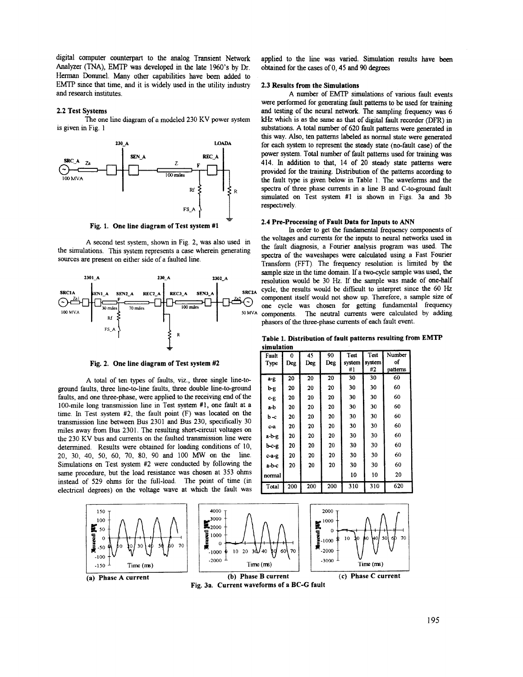digital computer counterpart to the analog Transient Network Analyzer **(TNA),** EMTP was developed in the late 1960's by **Dr.**  Herman Dommel. Many other capabilities have been added to **EMTP smce** that time, and it is widely used in the utility industry and research institutes

# **2.2 Test Systems**

is given in Fig. 1 The one line diagram of a modeled 230 KV power system



**A** second test system, shown in Fig. 2, was also used in the simulations. This system represents a case wherein generating sources are present on either side of a faulted line.



**Fig. 2. One line diagram of Test system #2** 

**A** total of ten **types** of faults, viz., three single line-toground faults, three line-to-line faults, three double line-to-ground faults, and one three-phase, were applied to the receiving end of the 100-mile long transmission line in Test system # 1, **one** fault at a time. In Test system #2, the fault point (F) was located on the transmission line between Bus 2301 and Bus 230, specifically 30 miles away from Bus 2301. The resulting short-circuit voltages on the 230 KV bus and currents on the faulted transmission line were determined. Results were obtained for loading conditions of 10, 20, 30, 40, **50,** 60, 70, 80, 90 and 100 *MW* on the line. Simulations on Test system **#2** were conducted by following the same procedure, but the load resistance was chosen at 353 ohms instead of 529 ohms for the full-load. The point of time (in electrical degrees) on the voltage wave at which the fault was

applied to the line was varied. Simulation results have been obtained for the cases of 0,45 and 90 degrees

# **2,3 Results from the Simulations**

**A** number of EMTP simulations of various fault events were performed for generating fault patterns to be used for training and testing of the neural network. The sampling frequency was 6 *WIZ* which is as the same **as** that of digital fault recorder (DFR) in substations. **A** total number of 620 fault patterns were generated in this way. *Also,* ten patterns labeled as normal state were generated for each system to represent the steady state (no-fault case) of the power system. Total number of fault patterns **used** for training **was**  414. In addition to that, 14 of **20** steady state patterns were provided for the training. Distribution of the patterns according to the fault **type** is given below in Table 1. The waveforms and the spectra of three phase currents in a line B and C-to-ground fault simulated on Test system #1 is shown in Figs. 3a and 3b respectively.

# **2.4 Pre-Processing of Fault Data for Inputs to ANN**

**SRCM cycle**, the results would be difficult to interpret since the 60 Hz component itself would not show up. Therefore, a sample size of one cycle was chosen for getting fundamental frequency **50MVA** components. The neutral currents were calculated by adding Fig. 1. One line diagram of Test system #1 *E.4 Pre-Processing of Fault Data for Inputs to AINI*<br>In order to get the fundamental frequency components of the voltages and currents for the inputs to neural networks used in the fault diagnosis, a Fourier analysis program was used. The spectra of the waveshapes were calculated using a Fast Fourier Transform (FFT) The frequency resolution is limited by the <sup>230</sup>-A <sup>230</sup>-A <sup>230-</sup><sup>230-</sup> <sup>230-</sup><sup>240-</sup> <sup>230-</sup><sup>240-</sup> <sup>230-</sup> <sup>230-</sup> <sup>230-</sup> <sup>230-</sup> <sup>230-</sup> <sup>230-</sup> <sup>230-</sup> <sup>230-</sup> <sup>230-</sup> <sup>230-</sup> <sup>230-</sup> <sup>230-</sup> <sup>230-</sup> <sup>230-</sup> <sup>230-</sup> <sup>230-</sup> <sup>230-</sup> <sup>24</sup>- <sup>24</sup>- <sup>24</sup>- <sup>24</sup>- <sup>24</sup>- <sup>24</sup>- <sup>24</sup>- <sup>24</sup> resolution would be 30 Hz. If the sample was made of one-half components. The neutral currents were calculated<br>phasors of the three-phase currents of each fault event.<br>Table 1. Distribution of fault patterns resulting from<br>simulation<br>Fault 0 45 90 Test Test Number

**mulation** 

| Table 1. Distribution of fault patterns resulting from EMTP<br>simulation |          |           |           |                      |                      |                          |  |
|---------------------------------------------------------------------------|----------|-----------|-----------|----------------------|----------------------|--------------------------|--|
| Fault<br>Type                                                             | 0<br>Deg | 45<br>Deg | 90<br>Deg | Test<br>system<br>#1 | Test<br>system<br>#2 | Number<br>of<br>patterns |  |
| a-g                                                                       | 20       | 20        | 20        | 30                   | 30                   | 60                       |  |
| b-g                                                                       | 20       | 20        | 20        | 30                   | 30                   | 60                       |  |
| c-g                                                                       | 20       | 20        | 20        | 30                   | 30                   | 60                       |  |
| a-b                                                                       | 20       | 20        | 20        | 30                   | 30                   | 60                       |  |
| b-c                                                                       | 20       | 20        | 20        | 30                   | 30                   | 60                       |  |
| c-a                                                                       | 20       | 20        | 20        | 30                   | 30                   | 60                       |  |
| $a-b-g$                                                                   | 20       | 20        | 20        | 30                   | 30                   | 60                       |  |
| $b-c-g$                                                                   | 20       | 20        | 20        | 30                   | 30                   | 60                       |  |
| $c-a-e$                                                                   | 20       | 20        | 20        | 30                   | 30                   | 60                       |  |
| $a-b-c$                                                                   | 20       | 20        | 20        | 30                   | 30                   | 60                       |  |
| normal                                                                    |          |           |           | 10                   | 10                   | 20                       |  |
| Total                                                                     | 200      | 200       | 200       | 310                  | 310                  | 620                      |  |

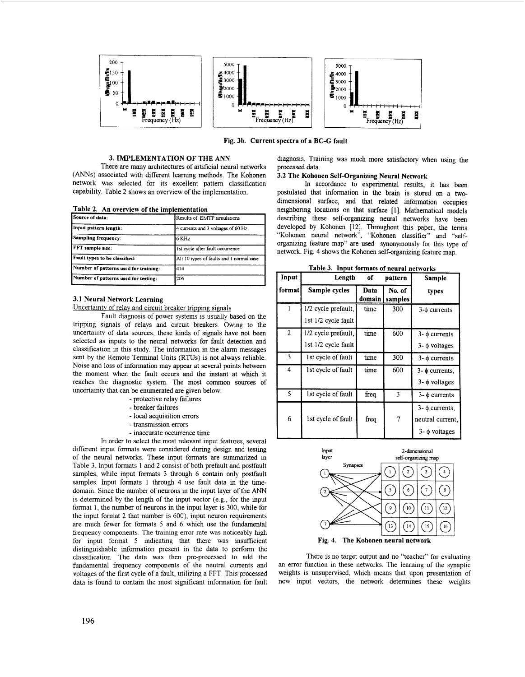

**Fig. 3b. Current spectra of a BC-G fault** 

# **3. IMPLEMENTATION OF THE** ANN

There are many architectures of artificial neural networks *(ANNs)* associated with different learning methods. The Kohonen network was selected for its excellent pattern classification capability. Table 2 shows an overview of the implementation.

|  |  | Table 2. An overview of the implementation |  |
|--|--|--------------------------------------------|--|
|  |  |                                            |  |

| Source of data:                       | Results of EMTP simulations              |
|---------------------------------------|------------------------------------------|
| Input pattern length:                 | 4 currents and 3 voltages of 60 Hz       |
| Sampling frequency:                   | 6 KHz                                    |
| <b>FFT</b> sample size:               | Ist cycle after fault occurrence         |
| Fault types to be classified:         | All 10 types of faults and 1 normal case |
| Number of patterns used for training: | 414                                      |
| Number of patterns used for testing:  | 206                                      |

#### **3.1 Neural Network Learning**

Uncertainty of relay and circuit breaker tripping signals

Fault diagnosis of power systems is usually based on the tripping signals of relays and circuit breakers. Owing to the uncertainty of data sources, these kinds of signals have not been selected as inputs to the neural networks for fault detection and classification in this study. The information in the alarm messages sent by the Remote Terminal Units (RTUs) is not always reliable. Noise and loss of information may appear at several points between the moment when the fault occurs and the instant at whch it reaches the diagnostic system. The most common sources of uncertainty that can be enumerated are given below:

- protective relay failures
- breaker failures
- local acquisition errors
- transmission errors
- inaccurate occurrence time

In order to select the most relevant input features, several different input formats were considered during design and testing of the neural networks. These input formats are *summarized* in Table 3. Input formats 1 and **2** consist of both prefault and postfault samples, while input formats 3 through 6 contain only postfault samples. Input formats 1 through 4 use fault **data** in the timedomain. Since the number of neurons in the input layer of the ANN is determined by the length of the input vector (e.g., for the input format **1,** the number of neurons in the input layer is 300, whle for the input format 2 that number is *600),* input neuron requirements *are* much fewer for formats *5* and 6 which use the fundamental frequency components. The training error rate was noticeably high for input format 5 indicating that there was insufficient distinguishable information present in the data to perform the classification. The data was then pre-processed to add the fundamental frequency components of the neutral currents and voltages of the first cycle of a fault, utilizing a FFT. This processed data is found to contain the most significant information for fault

diagnosis. Training was much more satisfactory when using the processed **data.** 

# **3.2 The Kohonen Self-Organizing Neural Network**

In accordance to experimental results, it has been postulated that information in the brain is stored on a **two**dimensional surface, and that related information occupies neighboring locations on that surface [l]. Mathematical models describing these self-organizing neural networks have been developed by Kohonen [12]. Throughout this paper, the terms "Kohonen neural network", "Kohonen classifier" and "selforganizing feature map" are used synonymously for this type of network. Fig. 4 shows the Kohonen self-organizing feature map.

| Input                  | Length                                     | of             | pattern           | Sample                                                      |  |  |
|------------------------|--------------------------------------------|----------------|-------------------|-------------------------------------------------------------|--|--|
| format                 | Sample cycles                              | Data<br>domain | No. of<br>samples | types                                                       |  |  |
|                        | 1/2 cycle prefault,<br>1st 1/2 cycle fault | time           | 300               | $3-\phi$ currents                                           |  |  |
| $\overline{c}$         | 1/2 cycle prefault,<br>1st 1/2 cycle fault | time           | 600               | $3 \phi$ currents<br>$3 \phi$ voltages                      |  |  |
| 3                      | Ist cycle of fault                         | time           | 300               | $3 - \phi$ currents                                         |  |  |
| $\overline{\bf 4}$     | 1st cycle of fault                         | time           | 600               | $3 \phi$ currents,<br>$3 - \phi$ voltages                   |  |  |
| 5                      | Ist cycle of fault                         | freq           | 3                 | $3 - \phi$ currents                                         |  |  |
| 6                      | 1st cycle of fault                         | freq           | 7                 | $3 \phi$ currents,<br>neutral current,<br>$3 \phi$ voltages |  |  |
| Input<br>2-dimensional |                                            |                |                   |                                                             |  |  |





**Fig. 4. The Kohonen neural network** 

There **is** no target output and no "teacher" for evaluating an error function in these networks. The learning of the synaptic weights is unsupervised, which means that upon presentation of new input vectors, the network determines these weights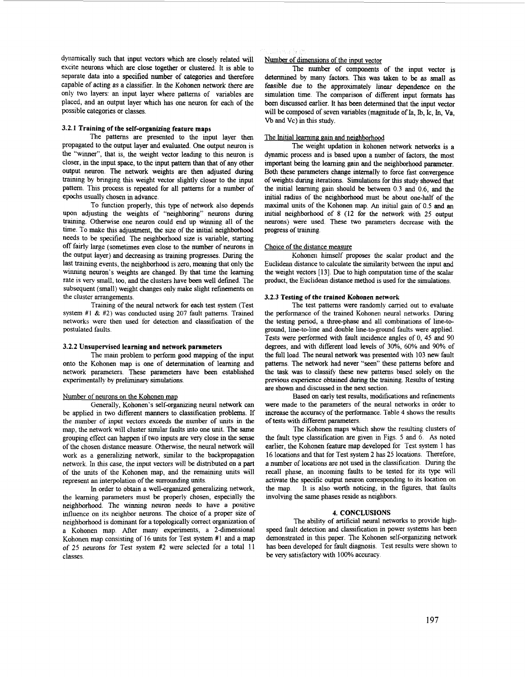dynamically such that input vectors which are closely related will excite neurons which are close together or clustered. It is able to separate data into a specified number of categories and therefore capable of acting as a classifier. In the Kohonen network there are only two layers: an input layer where patterns of variables are placed, and an output layer which has one neuron for each of the possible categories or classes.

# **3.2.1 Training of the self-organizing feature maps**

The patterns are presented to the input layer then propagated to the output layer and evaluated. One output neuron **is**  the "winner", that is, the weight vector leading to this neuron is closer, in the input space, to the input pattern than that of any other output neuron. The network weights are then adjusted during training by bringing this weight vector slightly closer to the input pattern. This process is repeated for all patterns for a number of epochs usually chosen in advance.

To function properly, **this type** of network also depends upon adjusting the weights of "neighboring" neurons during training. Otherwise one neuron could end up winning all of the time. To make this adjustment, the size of the initial neighborhood needs to be specified. The neighborhood size is variable, starting off fairly large (sometimes even close to the number of neurons in the output layer) and decreasing as training progresses. During the last training events, the neighborhood is zero, meaning that only the winning neuron's weights are changed. By that time the learning rate is very small, too, and the clusters have been well defined. The subsequent (small) weight changes only make slight refinements on the cluster arrangements.

Training of the neural network for each test system (Test system #I & **#2)** was conducted using **207** fault patterns. Trained networks were then used for detection and classification of the postulated faults.

# **3.2.2 Unsupervised learning and network parameters**

The main problem to perform good mapping of the input onto the Kohonen map is one of determination of learning and network parameters. These parameters have been established experimentally by preliminary simulations.

# Number of neurons on the Kohonen mag

Generally, Kohonen's self-organizing neural network *can*  be applied in two different manners to classification problems. If the number of input vectors exceeds the number of units in the map, the network will cluster similar faults into one unit. The same grouping effect *can* happen if two inputs are very close in the sense of the chosen distance measure. Otherwise, the neural network will work as a generalizing network, similar to the backpropagation network. In this case, the input vectors will be distributed on a **part**  of the units of the Kohonen map, and the remaining units will represent an interpolation of the surrounding units.

In order to obtain a well-organized generalizing network, the learning parameters must be properly chosen, especially the neighborhood. The winning neuron needs to have **a** positive mfluence on its neighbor neurons. The choice of a proper size of neighborhood is dominant for a topologically correct organization of a Kohonen map. After many experiments, a 2-dimensional Kohonen map consisting of 16 units for Test system #1 and a map of **25** neurons for Test system **#2** were selected for a total 11 classes.

Number of dimensions of the input vector

The number of components of the input vector **is**  detemuned by many factors. This was taken **to** be **as** small **as**  feasible due to the approximately linear dependence on the simulation time The comparison of different input formats has been discussed earlier. It has been determined that the input vector will be composed of seven vanables (magnitude of **Ia, Ib,** IC, In, Va, Vb and Vc) in this study.

#### The Initial learning gain and neighborhood

The weight updation in kohonen network networks is a dynamic process and is based upon a number of factors, the most important being the learning gain and the neighborhood parameter. Both these parameters change internally to force fast convergence of weights during iterations. Simulations for this study showed that the initial learning gain should be between 0.3 and 0.6, and the initial radius of the neighborhood must be about one-half of the maximal units of the Kohonen map. *An* initial gain of 0.5 and **an**  initial neighborhood of 8 (12 for the network with **25** output neurons) were used. These two parameters decrease with the progress of training.

#### Choice of the distance measure

Kohonen himself proposes the scalar product and the Euclidean distance to calculate the similarity between the input and the weight vectors [ 131. Due to high computation time of the *scalar*  product, the Euclidean distance method is used for the simulations.

### **3.2.3 Testing of the trained Kohonen network**

The test patterns were randomly carried out to evaluate the performance of the trained Kohonen neural networks. During the testing period, a three-phase and all combinations of line-toground, line-to-line and double line-to-ground faults were applied. Tests were performed with fault incidence angles of 0, **45** and 90 degrees, and with different load levels of 30%, *60%* and 90% of the full load. The neural network was presented with 103 new fault patterns. The network had never "seen" these patterns before and the task was to classify these new patterns based solely on the previous expenence obtained during the training. Results of testing are shown and discussed in the next section.

Based on early test results, modifications and refinements were made to the parameters of the neural networks in order to **increase** the accuracy of the performance. [Table](#page-5-0) **4** shows the results of **tests** with different parameters.

The Kohonen maps which show the resulting clusters of the fault **type** classification are given in [Figs.](#page-5-0) *5* and 6. **As** noted earlier, the Kohonen feature map developed for Test system 1 has 16 locations and that for Test system **2** has **25** locations. Therefore, a number of locations are not used in the classification. **During** the recall phase, an incoming faults to be tested for its **type** will activate the specific output neuron corresponding to its location on the map. It is also worth noticing, in the figures, that faults involving the same phases reside as neighbors.

### **4. CONCLUSIONS**

The ability of artificial neural networks to provide highspeed fault detection and classification in power systems has been demonstrated in this paper. The Kohonen self-organizing network has been developed for fault diagnosis. Test results were shown to be very satisfactory with 100% accuracy.